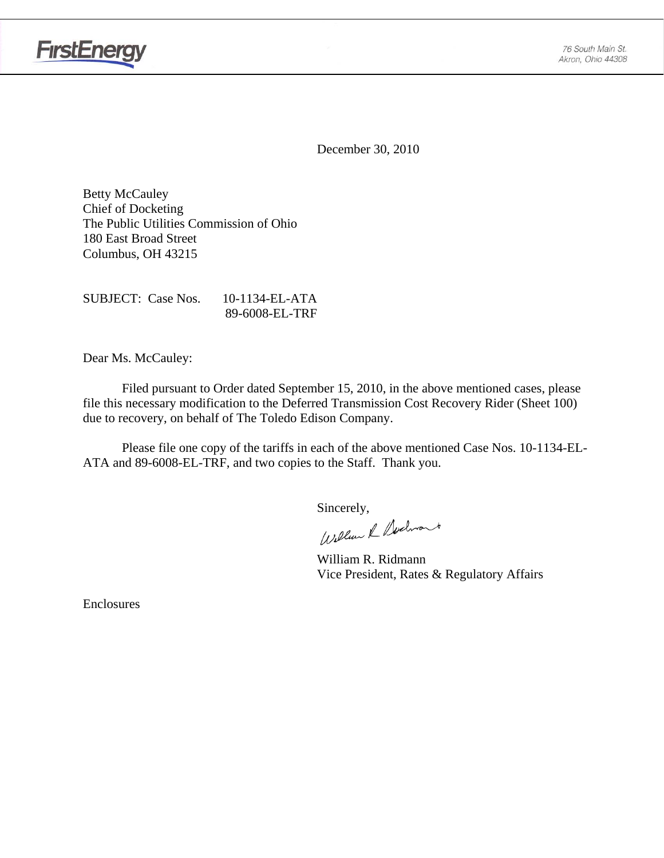

December 30, 2010

Betty McCauley Chief of Docketing The Public Utilities Commission of Ohio 180 East Broad Street Columbus, OH 43215

SUBJECT: Case Nos. 10-1134-EL-ATA 89-6008-EL-TRF

Dear Ms. McCauley:

 Filed pursuant to Order dated September 15, 2010, in the above mentioned cases, please file this necessary modification to the Deferred Transmission Cost Recovery Rider (Sheet 100) due to recovery, on behalf of The Toledo Edison Company.

Please file one copy of the tariffs in each of the above mentioned Case Nos. 10-1134-EL-ATA and 89-6008-EL-TRF, and two copies to the Staff. Thank you.

Sincerely,<br>William & Sychoant

 William R. Ridmann Vice President, Rates & Regulatory Affairs

Enclosures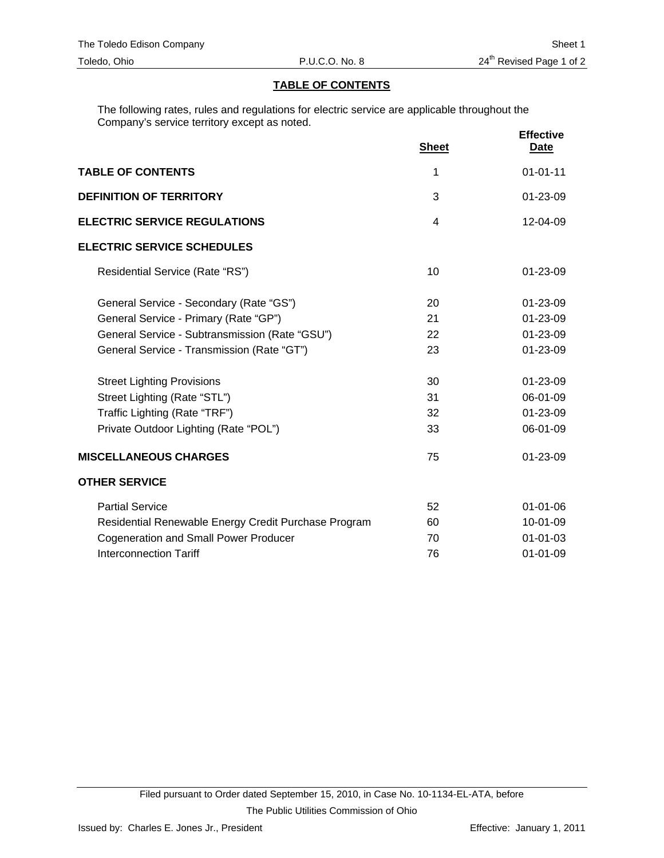### **TABLE OF CONTENTS**

The following rates, rules and regulations for electric service are applicable throughout the Company's service territory except as noted.

|                                                      | <b>Sheet</b>   | <b>Effective</b><br><b>Date</b> |
|------------------------------------------------------|----------------|---------------------------------|
| <b>TABLE OF CONTENTS</b>                             | 1              | $01 - 01 - 11$                  |
| <b>DEFINITION OF TERRITORY</b>                       | 3              | $01 - 23 - 09$                  |
| <b>ELECTRIC SERVICE REGULATIONS</b>                  | $\overline{4}$ | 12-04-09                        |
| <b>ELECTRIC SERVICE SCHEDULES</b>                    |                |                                 |
| Residential Service (Rate "RS")                      | 10             | 01-23-09                        |
| General Service - Secondary (Rate "GS")              | 20             | 01-23-09                        |
| General Service - Primary (Rate "GP")                | 21             | 01-23-09                        |
| General Service - Subtransmission (Rate "GSU")       | 22             | 01-23-09                        |
| General Service - Transmission (Rate "GT")           | 23             | 01-23-09                        |
| <b>Street Lighting Provisions</b>                    | 30             | $01 - 23 - 09$                  |
| Street Lighting (Rate "STL")                         | 31             | 06-01-09                        |
| Traffic Lighting (Rate "TRF")                        | 32             | 01-23-09                        |
| Private Outdoor Lighting (Rate "POL")                | 33             | 06-01-09                        |
| <b>MISCELLANEOUS CHARGES</b>                         | 75             | 01-23-09                        |
| <b>OTHER SERVICE</b>                                 |                |                                 |
| <b>Partial Service</b>                               | 52             | $01 - 01 - 06$                  |
| Residential Renewable Energy Credit Purchase Program | 60             | 10-01-09                        |
| <b>Cogeneration and Small Power Producer</b>         | 70             | $01 - 01 - 03$                  |
| <b>Interconnection Tariff</b>                        | 76             | $01 - 01 - 09$                  |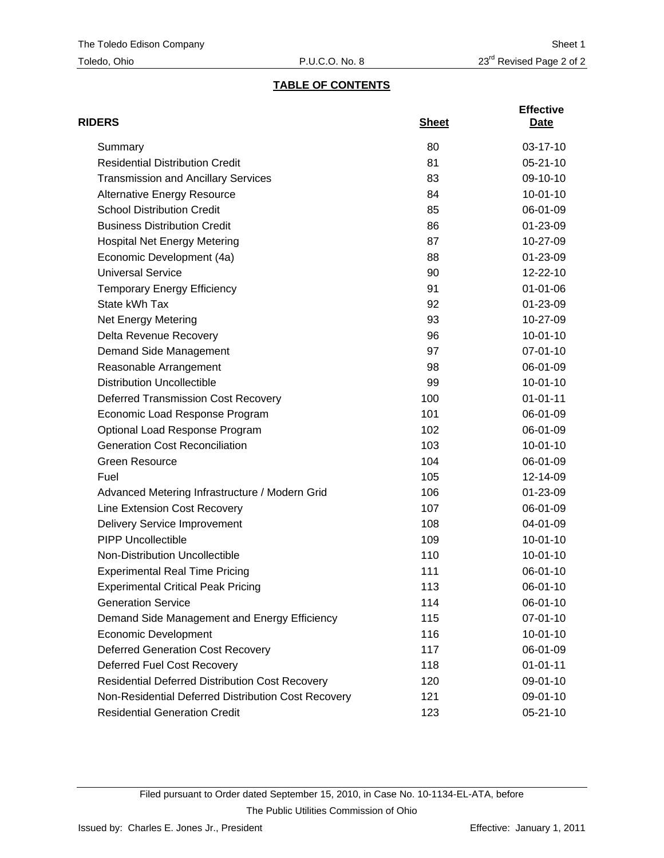## **TABLE OF CONTENTS**

| <b>RIDERS</b>                                          | <b>Sheet</b> | <b>Effective</b><br>Date |
|--------------------------------------------------------|--------------|--------------------------|
| Summary                                                | 80           | 03-17-10                 |
| <b>Residential Distribution Credit</b>                 | 81           | $05 - 21 - 10$           |
| <b>Transmission and Ancillary Services</b>             | 83           | 09-10-10                 |
| <b>Alternative Energy Resource</b>                     | 84           | $10 - 01 - 10$           |
| <b>School Distribution Credit</b>                      | 85           | 06-01-09                 |
| <b>Business Distribution Credit</b>                    | 86           | $01 - 23 - 09$           |
| <b>Hospital Net Energy Metering</b>                    | 87           | 10-27-09                 |
| Economic Development (4a)                              | 88           | 01-23-09                 |
| <b>Universal Service</b>                               | 90           | 12-22-10                 |
| <b>Temporary Energy Efficiency</b>                     | 91           | $01 - 01 - 06$           |
| State kWh Tax                                          | 92           | 01-23-09                 |
| Net Energy Metering                                    | 93           | 10-27-09                 |
| Delta Revenue Recovery                                 | 96           | $10 - 01 - 10$           |
| Demand Side Management                                 | 97           | 07-01-10                 |
| Reasonable Arrangement                                 | 98           | 06-01-09                 |
| <b>Distribution Uncollectible</b>                      | 99           | $10 - 01 - 10$           |
| <b>Deferred Transmission Cost Recovery</b>             | 100          | $01 - 01 - 11$           |
| Economic Load Response Program                         | 101          | 06-01-09                 |
| Optional Load Response Program                         | 102          | 06-01-09                 |
| <b>Generation Cost Reconciliation</b>                  | 103          | $10 - 01 - 10$           |
| <b>Green Resource</b>                                  | 104          | 06-01-09                 |
| Fuel                                                   | 105          | 12-14-09                 |
| Advanced Metering Infrastructure / Modern Grid         | 106          | 01-23-09                 |
| Line Extension Cost Recovery                           | 107          | 06-01-09                 |
| <b>Delivery Service Improvement</b>                    | 108          | 04-01-09                 |
| <b>PIPP Uncollectible</b>                              | 109          | $10 - 01 - 10$           |
| Non-Distribution Uncollectible                         | 110          | $10 - 01 - 10$           |
| <b>Experimental Real Time Pricing</b>                  | 111          | 06-01-10                 |
| <b>Experimental Critical Peak Pricing</b>              | 113          | 06-01-10                 |
| <b>Generation Service</b>                              | 114          | 06-01-10                 |
| Demand Side Management and Energy Efficiency           | 115          | 07-01-10                 |
| <b>Economic Development</b>                            | 116          | $10-01-10$               |
| <b>Deferred Generation Cost Recovery</b>               | 117          | 06-01-09                 |
| Deferred Fuel Cost Recovery                            | 118          | $01 - 01 - 11$           |
| <b>Residential Deferred Distribution Cost Recovery</b> | 120          | 09-01-10                 |
| Non-Residential Deferred Distribution Cost Recovery    | 121          | 09-01-10                 |
| <b>Residential Generation Credit</b>                   | 123          | $05 - 21 - 10$           |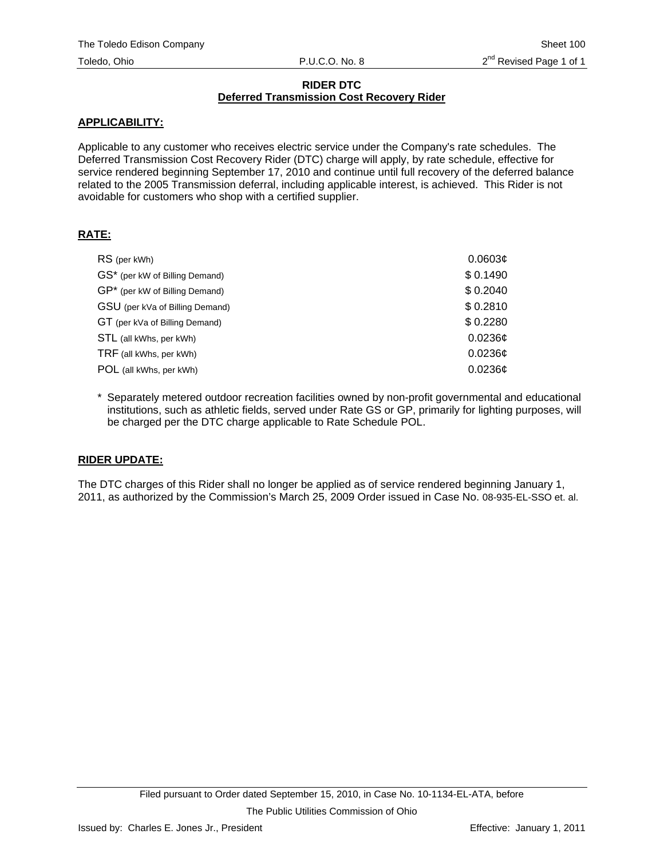### **RIDER DTC Deferred Transmission Cost Recovery Rider**

## **APPLICABILITY:**

Applicable to any customer who receives electric service under the Company's rate schedules. The Deferred Transmission Cost Recovery Rider (DTC) charge will apply, by rate schedule, effective for service rendered beginning September 17, 2010 and continue until full recovery of the deferred balance related to the 2005 Transmission deferral, including applicable interest, is achieved. This Rider is not avoidable for customers who shop with a certified supplier.

## **RATE:**

| RS (per kWh)                    | 0.0603c      |
|---------------------------------|--------------|
| GS* (per kW of Billing Demand)  | \$0.1490     |
| GP* (per kW of Billing Demand)  | \$0.2040     |
| GSU (per kVa of Billing Demand) | \$0.2810     |
| GT (per kVa of Billing Demand)  | \$0.2280     |
| STL (all kWhs, per kWh)         | $0.0236\phi$ |
| TRF (all kWhs, per kWh)         | 0.0236c      |
| POL (all kWhs, per kWh)         | 0.0236c      |

\* Separately metered outdoor recreation facilities owned by non-profit governmental and educational institutions, such as athletic fields, served under Rate GS or GP, primarily for lighting purposes, will be charged per the DTC charge applicable to Rate Schedule POL.

### **RIDER UPDATE:**

The DTC charges of this Rider shall no longer be applied as of service rendered beginning January 1, 2011, as authorized by the Commission's March 25, 2009 Order issued in Case No. 08-935-EL-SSO et. al.